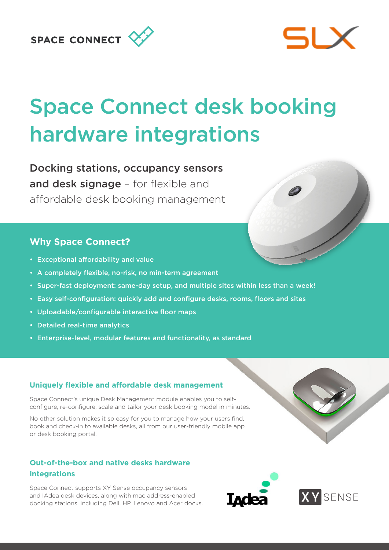# SPACE CONNECT



# Space Connect desk booking hardware integrations

Docking stations, occupancy sensors and desk signage - for flexible and affordable desk booking management

# **Why Space Connect?**

- Exceptional affordability and value
- A completely flexible, no-risk, no min-term agreement
- Super-fast deployment: same-day setup, and multiple sites within less than a week!
- Easy self-configuration: quickly add and configure desks, rooms, floors and sites
- Uploadable/configurable interactive floor maps
- Detailed real-time analytics
- Enterprise-level, modular features and functionality, as standard

## **Uniquely flexible and affordable desk management**

Space Connect's unique Desk Management module enables you to selfconfigure, re-configure, scale and tailor your desk booking model in minutes.

No other solution makes it so easy for you to manage how your users find, book and check-in to available desks, all from our user-friendly mobile app or desk booking portal.

## **Out-of-the-box and native desks hardware integrations**

Space Connect supports XY Sense occupancy sensors and IAdea desk devices, along with mac address-enabled docking stations, including Dell, HP, Lenovo and Acer docks.